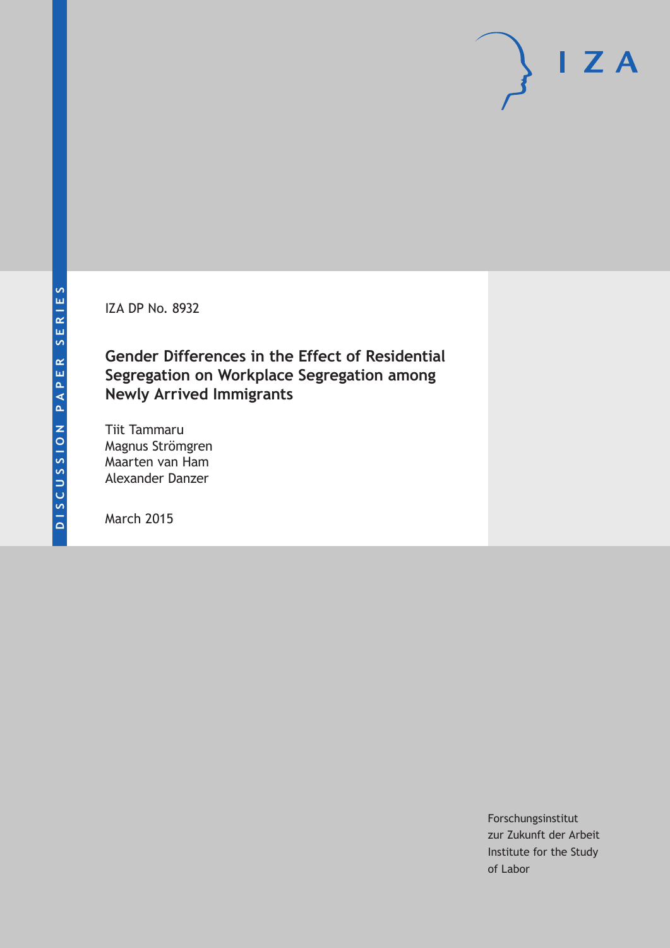IZA DP No. 8932

**Gender Differences in the Effect of Residential Segregation on Workplace Segregation among Newly Arrived Immigrants**

Tiit Tammaru Magnus Strömgren Maarten van Ham Alexander Danzer

March 2015

Forschungsinstitut zur Zukunft der Arbeit Institute for the Study of Labor

 $I Z A$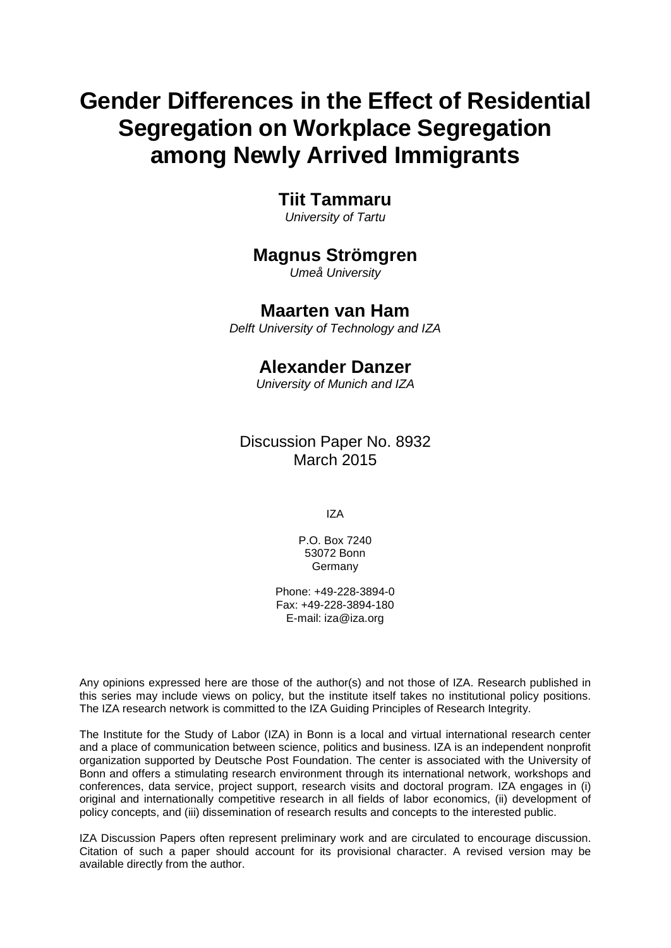# **Gender Differences in the Effect of Residential Segregation on Workplace Segregation among Newly Arrived Immigrants**

## **Tiit Tammaru**

*University of Tartu*

## **Magnus Strömgren**

*Umeå University*

## **Maarten van Ham**

*Delft University of Technology and IZA*

## **Alexander Danzer**

*University of Munich and IZA*

Discussion Paper No. 8932 March 2015

IZA

P.O. Box 7240 53072 Bonn **Germany** 

Phone: +49-228-3894-0 Fax: +49-228-3894-180 E-mail: iza@iza.org

Any opinions expressed here are those of the author(s) and not those of IZA. Research published in this series may include views on policy, but the institute itself takes no institutional policy positions. The IZA research network is committed to the IZA Guiding Principles of Research Integrity.

The Institute for the Study of Labor (IZA) in Bonn is a local and virtual international research center and a place of communication between science, politics and business. IZA is an independent nonprofit organization supported by Deutsche Post Foundation. The center is associated with the University of Bonn and offers a stimulating research environment through its international network, workshops and conferences, data service, project support, research visits and doctoral program. IZA engages in (i) original and internationally competitive research in all fields of labor economics, (ii) development of policy concepts, and (iii) dissemination of research results and concepts to the interested public.

<span id="page-1-0"></span>IZA Discussion Papers often represent preliminary work and are circulated to encourage discussion. Citation of such a paper should account for its provisional character. A revised version may be available directly from the author.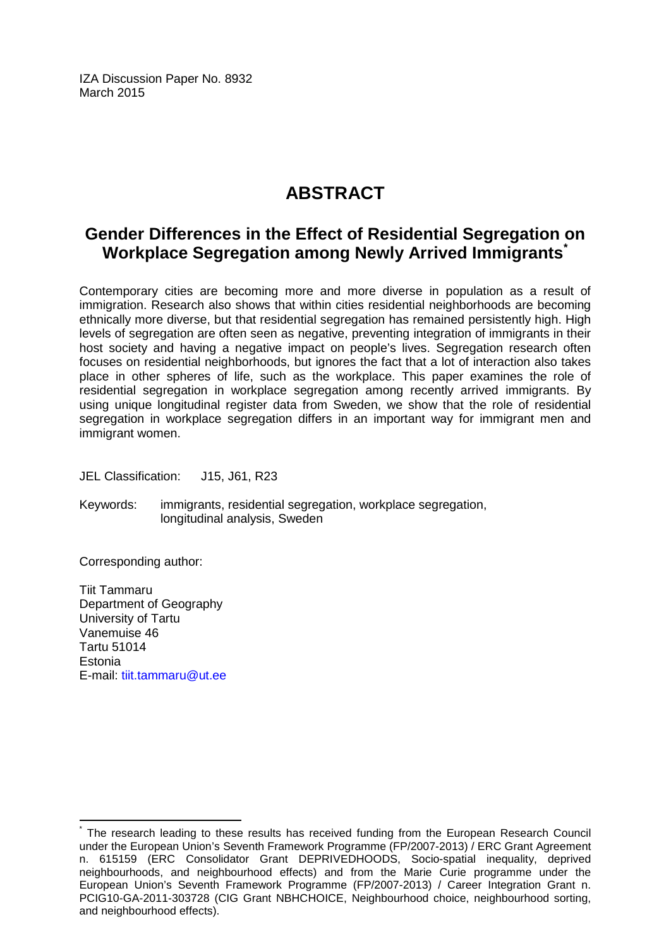IZA Discussion Paper No. 8932 March 2015

## **ABSTRACT**

## **Gender Differences in the Effect of Residential Segregation on Workplace Segregation among Newly Arrived Immigrants[\\*](#page-1-0)**

Contemporary cities are becoming more and more diverse in population as a result of immigration. Research also shows that within cities residential neighborhoods are becoming ethnically more diverse, but that residential segregation has remained persistently high. High levels of segregation are often seen as negative, preventing integration of immigrants in their host society and having a negative impact on people's lives. Segregation research often focuses on residential neighborhoods, but ignores the fact that a lot of interaction also takes place in other spheres of life, such as the workplace. This paper examines the role of residential segregation in workplace segregation among recently arrived immigrants. By using unique longitudinal register data from Sweden, we show that the role of residential segregation in workplace segregation differs in an important way for immigrant men and immigrant women.

JEL Classification: J15, J61, R23

Keywords: immigrants, residential segregation, workplace segregation, longitudinal analysis, Sweden

Corresponding author:

Tiit Tammaru Department of Geography University of Tartu Vanemuise 46 Tartu 51014 Estonia E-mail: [tiit.tammaru@ut.ee](mailto:tiit.tammaru@ut.ee)

The research leading to these results has received funding from the European Research Council under the European Union's Seventh Framework Programme (FP/2007-2013) / ERC Grant Agreement n. 615159 (ERC Consolidator Grant DEPRIVEDHOODS, Socio-spatial inequality, deprived neighbourhoods, and neighbourhood effects) and from the Marie Curie programme under the European Union's Seventh Framework Programme (FP/2007-2013) / Career Integration Grant n. PCIG10-GA-2011-303728 (CIG Grant NBHCHOICE, Neighbourhood choice, neighbourhood sorting, and neighbourhood effects).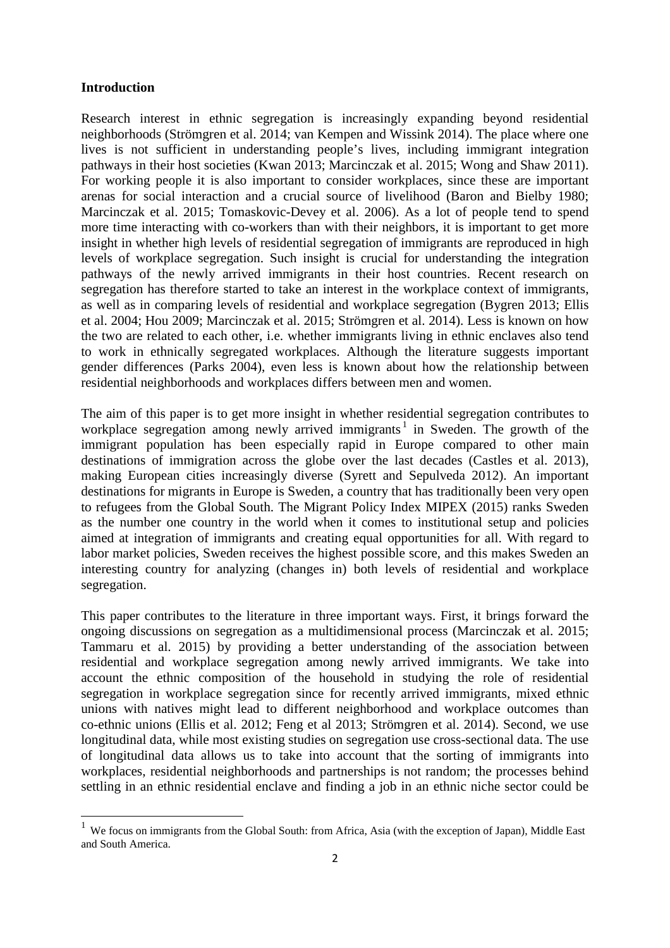#### **Introduction**

Research interest in ethnic segregation is increasingly expanding beyond residential neighborhoods (Strömgren et al. 2014; van Kempen and Wissink 2014). The place where one lives is not sufficient in understanding people's lives, including immigrant integration pathways in their host societies (Kwan 2013; Marcinczak et al. 2015; Wong and Shaw 2011). For working people it is also important to consider workplaces, since these are important arenas for social interaction and a crucial source of livelihood (Baron and Bielby 1980; Marcinczak et al. 2015; Tomaskovic-Devey et al. 2006). As a lot of people tend to spend more time interacting with co-workers than with their neighbors, it is important to get more insight in whether high levels of residential segregation of immigrants are reproduced in high levels of workplace segregation. Such insight is crucial for understanding the integration pathways of the newly arrived immigrants in their host countries. Recent research on segregation has therefore started to take an interest in the workplace context of immigrants, as well as in comparing levels of residential and workplace segregation (Bygren 2013; Ellis et al. 2004; Hou 2009; Marcinczak et al. 2015; Strömgren et al. 2014). Less is known on how the two are related to each other, i.e. whether immigrants living in ethnic enclaves also tend to work in ethnically segregated workplaces. Although the literature suggests important gender differences (Parks 2004), even less is known about how the relationship between residential neighborhoods and workplaces differs between men and women.

The aim of this paper is to get more insight in whether residential segregation contributes to workplace segregation among newly arrived immigrants<sup>[1](#page-12-0)</sup> in Sweden. The growth of the immigrant population has been especially rapid in Europe compared to other main destinations of immigration across the globe over the last decades (Castles et al. 2013), making European cities increasingly diverse (Syrett and Sepulveda 2012). An important destinations for migrants in Europe is Sweden, a country that has traditionally been very open to refugees from the Global South. The Migrant Policy Index MIPEX (2015) ranks Sweden as the number one country in the world when it comes to institutional setup and policies aimed at integration of immigrants and creating equal opportunities for all. With regard to labor market policies, Sweden receives the highest possible score, and this makes Sweden an interesting country for analyzing (changes in) both levels of residential and workplace segregation.

This paper contributes to the literature in three important ways. First, it brings forward the ongoing discussions on segregation as a multidimensional process (Marcinczak et al. 2015; Tammaru et al. 2015) by providing a better understanding of the association between residential and workplace segregation among newly arrived immigrants. We take into account the ethnic composition of the household in studying the role of residential segregation in workplace segregation since for recently arrived immigrants, mixed ethnic unions with natives might lead to different neighborhood and workplace outcomes than co-ethnic unions (Ellis et al. 2012; Feng et al 2013; Strömgren et al. 2014). Second, we use longitudinal data, while most existing studies on segregation use cross-sectional data. The use of longitudinal data allows us to take into account that the sorting of immigrants into workplaces, residential neighborhoods and partnerships is not random; the processes behind settling in an ethnic residential enclave and finding a job in an ethnic niche sector could be

<sup>&</sup>lt;sup>1</sup> We focus on immigrants from the Global South: from Africa, Asia (with the exception of Japan), Middle East and South America.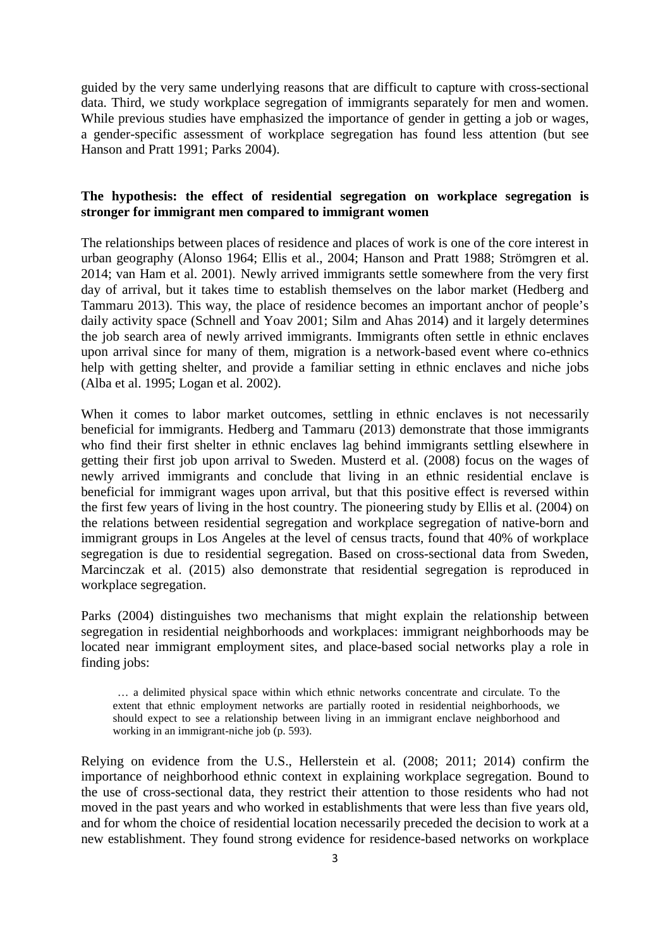guided by the very same underlying reasons that are difficult to capture with cross-sectional data. Third, we study workplace segregation of immigrants separately for men and women. While previous studies have emphasized the importance of gender in getting a job or wages, a gender-specific assessment of workplace segregation has found less attention (but see Hanson and Pratt 1991; Parks 2004).

#### **The hypothesis: the effect of residential segregation on workplace segregation is stronger for immigrant men compared to immigrant women**

The relationships between places of residence and places of work is one of the core interest in urban geography (Alonso 1964; Ellis et al., 2004; Hanson and Pratt 1988; Strömgren et al. 2014; van Ham et al. 2001). Newly arrived immigrants settle somewhere from the very first day of arrival, but it takes time to establish themselves on the labor market (Hedberg and Tammaru 2013). This way, the place of residence becomes an important anchor of people's daily activity space (Schnell and Yoav 2001; Silm and Ahas 2014) and it largely determines the job search area of newly arrived immigrants. Immigrants often settle in ethnic enclaves upon arrival since for many of them, migration is a network-based event where co-ethnics help with getting shelter, and provide a familiar setting in ethnic enclaves and niche jobs (Alba et al. 1995; Logan et al. 2002).

When it comes to labor market outcomes, settling in ethnic enclaves is not necessarily beneficial for immigrants. Hedberg and Tammaru (2013) demonstrate that those immigrants who find their first shelter in ethnic enclaves lag behind immigrants settling elsewhere in getting their first job upon arrival to Sweden. Musterd et al. (2008) focus on the wages of newly arrived immigrants and conclude that living in an ethnic residential enclave is beneficial for immigrant wages upon arrival, but that this positive effect is reversed within the first few years of living in the host country. The pioneering study by Ellis et al. (2004) on the relations between residential segregation and workplace segregation of native-born and immigrant groups in Los Angeles at the level of census tracts, found that 40% of workplace segregation is due to residential segregation. Based on cross-sectional data from Sweden, Marcinczak et al. (2015) also demonstrate that residential segregation is reproduced in workplace segregation.

Parks (2004) distinguishes two mechanisms that might explain the relationship between segregation in residential neighborhoods and workplaces: immigrant neighborhoods may be located near immigrant employment sites, and place-based social networks play a role in finding jobs:

… a delimited physical space within which ethnic networks concentrate and circulate. To the extent that ethnic employment networks are partially rooted in residential neighborhoods, we should expect to see a relationship between living in an immigrant enclave neighborhood and working in an immigrant-niche job (p. 593).

Relying on evidence from the U.S., Hellerstein et al. (2008; 2011; 2014) confirm the importance of neighborhood ethnic context in explaining workplace segregation. Bound to the use of cross-sectional data, they restrict their attention to those residents who had not moved in the past years and who worked in establishments that were less than five years old, and for whom the choice of residential location necessarily preceded the decision to work at a new establishment. They found strong evidence for residence-based networks on workplace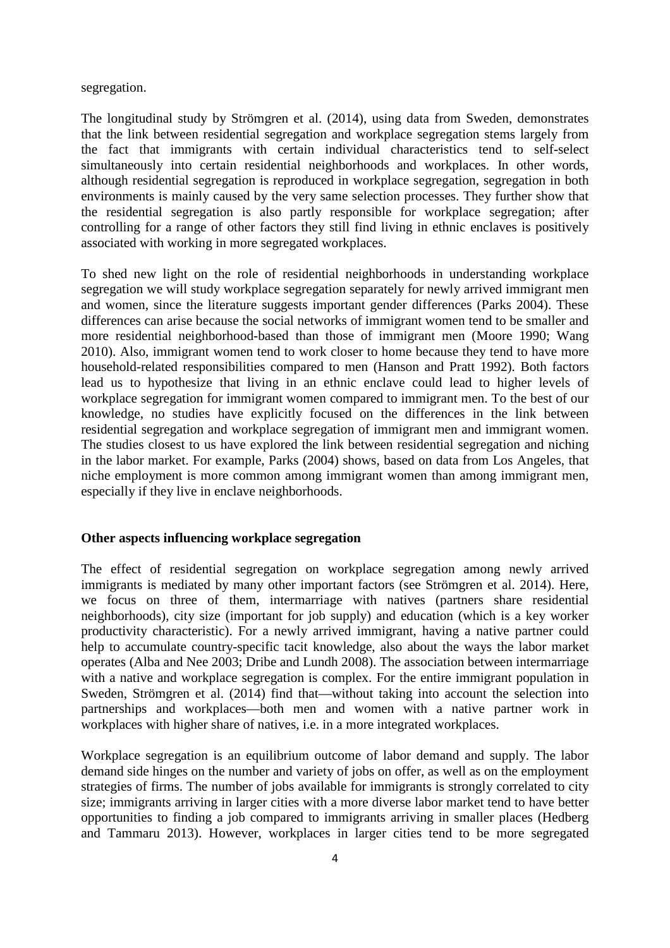#### segregation.

The longitudinal study by Strömgren et al. (2014), using data from Sweden, demonstrates that the link between residential segregation and workplace segregation stems largely from the fact that immigrants with certain individual characteristics tend to self-select simultaneously into certain residential neighborhoods and workplaces. In other words, although residential segregation is reproduced in workplace segregation, segregation in both environments is mainly caused by the very same selection processes. They further show that the residential segregation is also partly responsible for workplace segregation; after controlling for a range of other factors they still find living in ethnic enclaves is positively associated with working in more segregated workplaces.

To shed new light on the role of residential neighborhoods in understanding workplace segregation we will study workplace segregation separately for newly arrived immigrant men and women, since the literature suggests important gender differences (Parks 2004). These differences can arise because the social networks of immigrant women tend to be smaller and more residential neighborhood-based than those of immigrant men (Moore 1990; Wang 2010). Also, immigrant women tend to work closer to home because they tend to have more household-related responsibilities compared to men (Hanson and Pratt 1992). Both factors lead us to hypothesize that living in an ethnic enclave could lead to higher levels of workplace segregation for immigrant women compared to immigrant men. To the best of our knowledge, no studies have explicitly focused on the differences in the link between residential segregation and workplace segregation of immigrant men and immigrant women. The studies closest to us have explored the link between residential segregation and niching in the labor market. For example, Parks (2004) shows, based on data from Los Angeles, that niche employment is more common among immigrant women than among immigrant men, especially if they live in enclave neighborhoods.

#### **Other aspects influencing workplace segregation**

The effect of residential segregation on workplace segregation among newly arrived immigrants is mediated by many other important factors (see Strömgren et al. 2014). Here, we focus on three of them, intermarriage with natives (partners share residential neighborhoods), city size (important for job supply) and education (which is a key worker productivity characteristic). For a newly arrived immigrant, having a native partner could help to accumulate country-specific tacit knowledge, also about the ways the labor market operates (Alba and Nee 2003; Dribe and Lundh 2008). The association between intermarriage with a native and workplace segregation is complex. For the entire immigrant population in Sweden, Strömgren et al. (2014) find that—without taking into account the selection into partnerships and workplaces—both men and women with a native partner work in workplaces with higher share of natives, i.e. in a more integrated workplaces.

Workplace segregation is an equilibrium outcome of labor demand and supply. The labor demand side hinges on the number and variety of jobs on offer, as well as on the employment strategies of firms. The number of jobs available for immigrants is strongly correlated to city size; immigrants arriving in larger cities with a more diverse labor market tend to have better opportunities to finding a job compared to immigrants arriving in smaller places (Hedberg and Tammaru 2013). However, workplaces in larger cities tend to be more segregated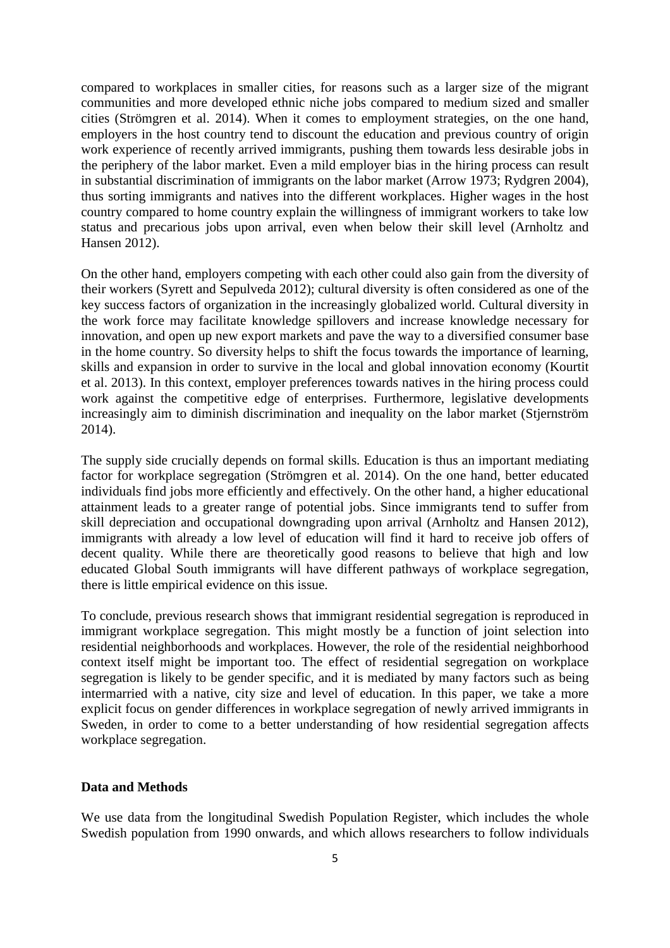compared to workplaces in smaller cities, for reasons such as a larger size of the migrant communities and more developed ethnic niche jobs compared to medium sized and smaller cities (Strömgren et al. 2014). When it comes to employment strategies, on the one hand, employers in the host country tend to discount the education and previous country of origin work experience of recently arrived immigrants, pushing them towards less desirable jobs in the periphery of the labor market. Even a mild employer bias in the hiring process can result in substantial discrimination of immigrants on the labor market (Arrow 1973; Rydgren 2004), thus sorting immigrants and natives into the different workplaces. Higher wages in the host country compared to home country explain the willingness of immigrant workers to take low status and precarious jobs upon arrival, even when below their skill level (Arnholtz and Hansen 2012).

On the other hand, employers competing with each other could also gain from the diversity of their workers (Syrett and Sepulveda 2012); cultural diversity is often considered as one of the key success factors of organization in the increasingly globalized world. Cultural diversity in the work force may facilitate knowledge spillovers and increase knowledge necessary for innovation, and open up new export markets and pave the way to a diversified consumer base in the home country. So diversity helps to shift the focus towards the importance of learning, skills and expansion in order to survive in the local and global innovation economy (Kourtit et al. 2013). In this context, employer preferences towards natives in the hiring process could work against the competitive edge of enterprises. Furthermore, legislative developments increasingly aim to diminish discrimination and inequality on the labor market (Stjernström 2014).

The supply side crucially depends on formal skills. Education is thus an important mediating factor for workplace segregation (Strömgren et al. 2014). On the one hand, better educated individuals find jobs more efficiently and effectively. On the other hand, a higher educational attainment leads to a greater range of potential jobs. Since immigrants tend to suffer from skill depreciation and occupational downgrading upon arrival (Arnholtz and Hansen 2012), immigrants with already a low level of education will find it hard to receive job offers of decent quality. While there are theoretically good reasons to believe that high and low educated Global South immigrants will have different pathways of workplace segregation, there is little empirical evidence on this issue.

To conclude, previous research shows that immigrant residential segregation is reproduced in immigrant workplace segregation. This might mostly be a function of joint selection into residential neighborhoods and workplaces. However, the role of the residential neighborhood context itself might be important too. The effect of residential segregation on workplace segregation is likely to be gender specific, and it is mediated by many factors such as being intermarried with a native, city size and level of education. In this paper, we take a more explicit focus on gender differences in workplace segregation of newly arrived immigrants in Sweden, in order to come to a better understanding of how residential segregation affects workplace segregation.

#### **Data and Methods**

We use data from the longitudinal Swedish Population Register, which includes the whole Swedish population from 1990 onwards, and which allows researchers to follow individuals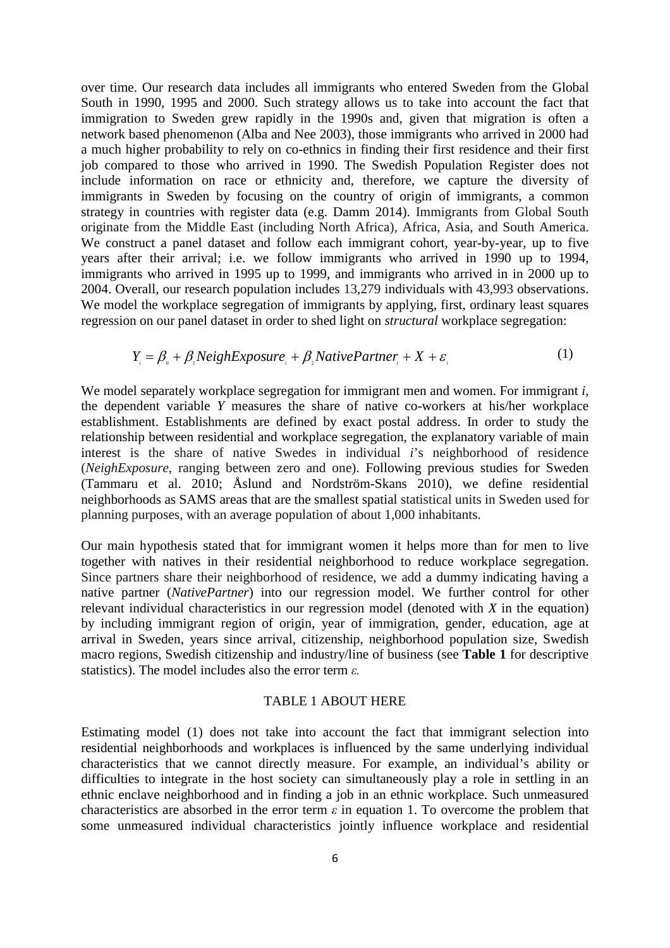over time. Our research data includes all immigrants who entered Sweden from the Global South in 1990, 1995 and 2000. Such strategy allows us to take into account the fact that immigration to Sweden grew rapidly in the 1990s and, given that migration is often a network based phenomenon (Alba and Nee 2003), those immigrants who arrived in 2000 had a much higher probability to rely on co-ethnics in finding their first residence and their first job compared to those who arrived in 1990. The Swedish Population Register does not include information on race or ethnicity and, therefore, we capture the diversity of immigrants in Sweden by focusing on the country of origin of immigrants, a common strategy in countries with register data (e.g. Damm 2014). Immigrants from Global South originate from the Middle East (including North Africa), Africa, Asia, and South America. We construct a panel dataset and follow each immigrant cohort, year-by-year, up to five years after their arrival; i.e. we follow immigrants who arrived in 1990 up to 1994, immigrants who arrived in 1995 up to 1999, and immigrants who arrived in in 2000 up to 2004. Overall, our research population includes 13,279 individuals with 43,993 observations. We model the workplace segregation of immigrants by applying, first, ordinary least squares regression on our panel dataset in order to shed light on *structural* workplace segregation:

$$
Y_i = \beta_{0} + \beta_{1} NeighExposure_{i} + \beta_{2} Native Partner_{i} + X + \varepsilon_{i}
$$
 (1)

We model separately workplace segregation for immigrant men and women. For immigrant *i*, the dependent variable *Y* measures the share of native co-workers at his/her workplace establishment. Establishments are defined by exact postal address. In order to study the relationship between residential and workplace segregation, the explanatory variable of main interest is the share of native Swedes in individual *i*'s neighborhood of residence (*NeighExposure*, ranging between zero and one). Following previous studies for Sweden (Tammaru et al. 2010; Åslund and Nordström-Skans 2010), we define residential neighborhoods as SAMS areas that are the smallest spatial statistical units in Sweden used for planning purposes, with an average population of about 1,000 inhabitants.

Our main hypothesis stated that for immigrant women it helps more than for men to live together with natives in their residential neighborhood to reduce workplace segregation. Since partners share their neighborhood of residence, we add a dummy indicating having a native partner (*NativePartner*) into our regression model. We further control for other relevant individual characteristics in our regression model (denoted with *X* in the equation) by including immigrant region of origin, year of immigration, gender, education, age at arrival in Sweden, years since arrival, citizenship, neighborhood population size, Swedish macro regions, Swedish citizenship and industry/line of business (see **Table 1** for descriptive statistics). The model includes also the error term *ε.*

#### TABLE 1 ABOUT HERE

Estimating model (1) does not take into account the fact that immigrant selection into residential neighborhoods and workplaces is influenced by the same underlying individual characteristics that we cannot directly measure. For example, an individual's ability or difficulties to integrate in the host society can simultaneously play a role in settling in an ethnic enclave neighborhood and in finding a job in an ethnic workplace. Such unmeasured characteristics are absorbed in the error term  $\varepsilon$  in equation 1. To overcome the problem that some unmeasured individual characteristics jointly influence workplace and residential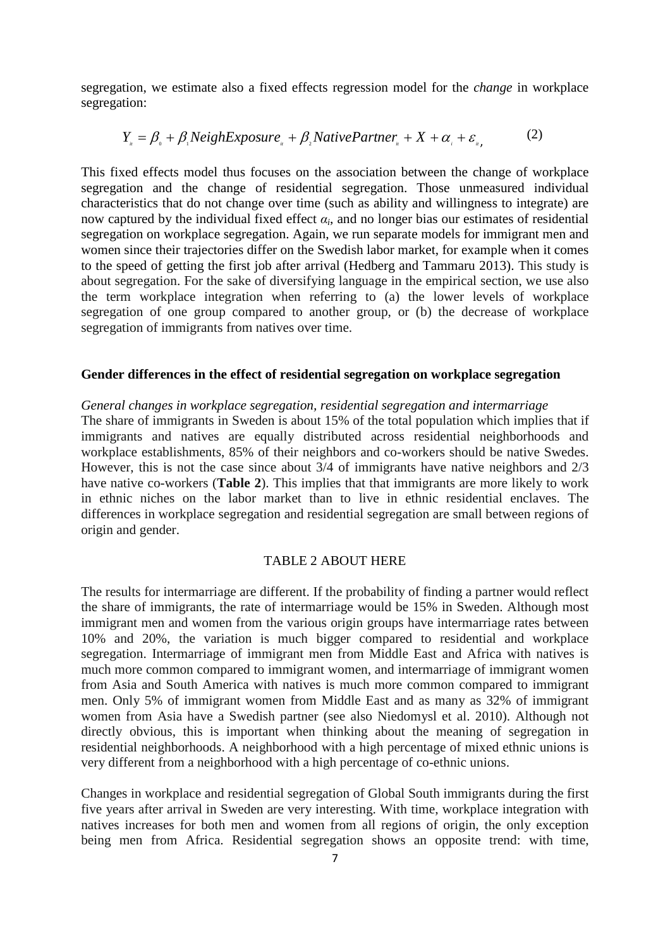segregation, we estimate also a fixed effects regression model for the *change* in workplace segregation:

$$
Y_{u} = \beta_{0} + \beta_{1} NeighExposure_{u} + \beta_{2} Native Partner_{u} + X + \alpha_{i} + \varepsilon_{u}, \tag{2}
$$

This fixed effects model thus focuses on the association between the change of workplace segregation and the change of residential segregation. Those unmeasured individual characteristics that do not change over time (such as ability and willingness to integrate) are now captured by the individual fixed effect  $\alpha_i$ , and no longer bias our estimates of residential segregation on workplace segregation. Again, we run separate models for immigrant men and women since their trajectories differ on the Swedish labor market, for example when it comes to the speed of getting the first job after arrival (Hedberg and Tammaru 2013). This study is about segregation. For the sake of diversifying language in the empirical section, we use also the term workplace integration when referring to (a) the lower levels of workplace segregation of one group compared to another group, or (b) the decrease of workplace segregation of immigrants from natives over time.

#### **Gender differences in the effect of residential segregation on workplace segregation**

#### *General changes in workplace segregation, residential segregation and intermarriage* The share of immigrants in Sweden is about 15% of the total population which implies that if immigrants and natives are equally distributed across residential neighborhoods and workplace establishments, 85% of their neighbors and co-workers should be native Swedes. However, this is not the case since about 3/4 of immigrants have native neighbors and 2/3 have native co-workers (**Table 2**). This implies that that immigrants are more likely to work in ethnic niches on the labor market than to live in ethnic residential enclaves. The differences in workplace segregation and residential segregation are small between regions of origin and gender.

#### TABLE 2 ABOUT HERE

The results for intermarriage are different. If the probability of finding a partner would reflect the share of immigrants, the rate of intermarriage would be 15% in Sweden. Although most immigrant men and women from the various origin groups have intermarriage rates between 10% and 20%, the variation is much bigger compared to residential and workplace segregation. Intermarriage of immigrant men from Middle East and Africa with natives is much more common compared to immigrant women, and intermarriage of immigrant women from Asia and South America with natives is much more common compared to immigrant men. Only 5% of immigrant women from Middle East and as many as 32% of immigrant women from Asia have a Swedish partner (see also Niedomysl et al. 2010). Although not directly obvious, this is important when thinking about the meaning of segregation in residential neighborhoods. A neighborhood with a high percentage of mixed ethnic unions is very different from a neighborhood with a high percentage of co-ethnic unions.

Changes in workplace and residential segregation of Global South immigrants during the first five years after arrival in Sweden are very interesting. With time, workplace integration with natives increases for both men and women from all regions of origin, the only exception being men from Africa. Residential segregation shows an opposite trend: with time,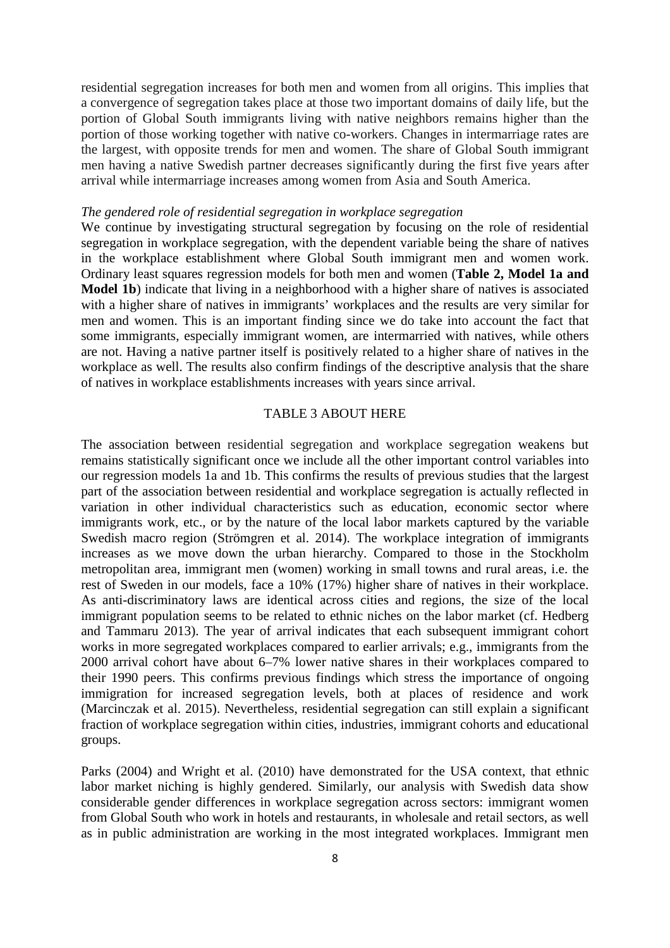residential segregation increases for both men and women from all origins. This implies that a convergence of segregation takes place at those two important domains of daily life, but the portion of Global South immigrants living with native neighbors remains higher than the portion of those working together with native co-workers. Changes in intermarriage rates are the largest, with opposite trends for men and women. The share of Global South immigrant men having a native Swedish partner decreases significantly during the first five years after arrival while intermarriage increases among women from Asia and South America.

#### *The gendered role of residential segregation in workplace segregation*

We continue by investigating structural segregation by focusing on the role of residential segregation in workplace segregation, with the dependent variable being the share of natives in the workplace establishment where Global South immigrant men and women work. Ordinary least squares regression models for both men and women (**Table 2, Model 1a and Model 1b**) indicate that living in a neighborhood with a higher share of natives is associated with a higher share of natives in immigrants' workplaces and the results are very similar for men and women. This is an important finding since we do take into account the fact that some immigrants, especially immigrant women, are intermarried with natives, while others are not. Having a native partner itself is positively related to a higher share of natives in the workplace as well. The results also confirm findings of the descriptive analysis that the share of natives in workplace establishments increases with years since arrival.

#### TABLE 3 ABOUT HERE

The association between residential segregation and workplace segregation weakens but remains statistically significant once we include all the other important control variables into our regression models 1a and 1b. This confirms the results of previous studies that the largest part of the association between residential and workplace segregation is actually reflected in variation in other individual characteristics such as education, economic sector where immigrants work, etc., or by the nature of the local labor markets captured by the variable Swedish macro region (Strömgren et al. 2014). The workplace integration of immigrants increases as we move down the urban hierarchy. Compared to those in the Stockholm metropolitan area, immigrant men (women) working in small towns and rural areas, i.e. the rest of Sweden in our models, face a 10% (17%) higher share of natives in their workplace. As anti-discriminatory laws are identical across cities and regions, the size of the local immigrant population seems to be related to ethnic niches on the labor market (cf. Hedberg and Tammaru 2013). The year of arrival indicates that each subsequent immigrant cohort works in more segregated workplaces compared to earlier arrivals; e.g., immigrants from the 2000 arrival cohort have about 6–7% lower native shares in their workplaces compared to their 1990 peers. This confirms previous findings which stress the importance of ongoing immigration for increased segregation levels, both at places of residence and work (Marcinczak et al. 2015). Nevertheless, residential segregation can still explain a significant fraction of workplace segregation within cities, industries, immigrant cohorts and educational groups.

Parks (2004) and Wright et al. (2010) have demonstrated for the USA context, that ethnic labor market niching is highly gendered. Similarly, our analysis with Swedish data show considerable gender differences in workplace segregation across sectors: immigrant women from Global South who work in hotels and restaurants, in wholesale and retail sectors, as well as in public administration are working in the most integrated workplaces. Immigrant men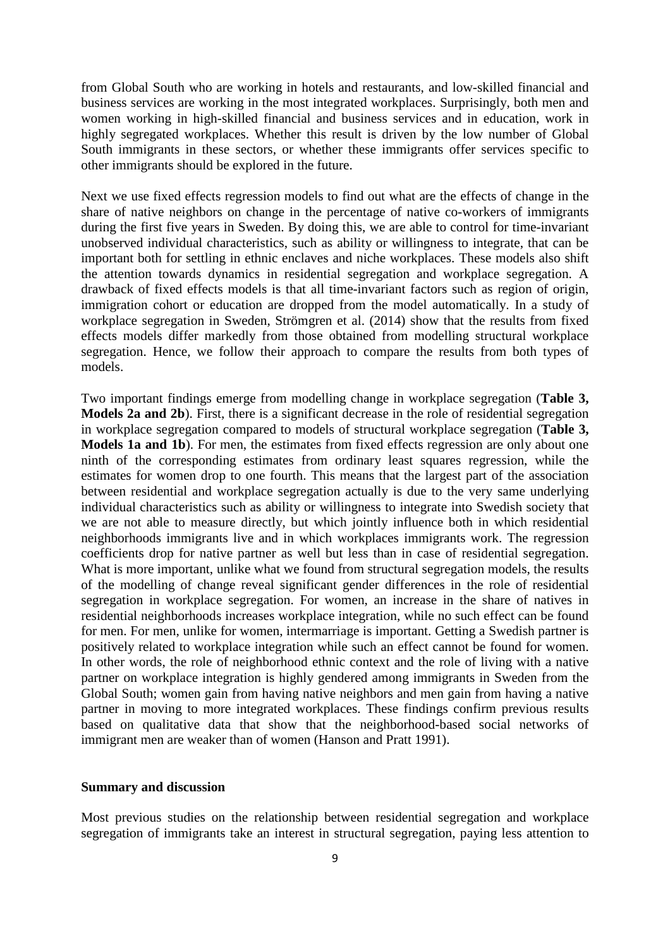from Global South who are working in hotels and restaurants, and low-skilled financial and business services are working in the most integrated workplaces. Surprisingly, both men and women working in high-skilled financial and business services and in education, work in highly segregated workplaces. Whether this result is driven by the low number of Global South immigrants in these sectors, or whether these immigrants offer services specific to other immigrants should be explored in the future.

Next we use fixed effects regression models to find out what are the effects of change in the share of native neighbors on change in the percentage of native co-workers of immigrants during the first five years in Sweden. By doing this, we are able to control for time-invariant unobserved individual characteristics, such as ability or willingness to integrate, that can be important both for settling in ethnic enclaves and niche workplaces. These models also shift the attention towards dynamics in residential segregation and workplace segregation. A drawback of fixed effects models is that all time-invariant factors such as region of origin, immigration cohort or education are dropped from the model automatically. In a study of workplace segregation in Sweden, Strömgren et al. (2014) show that the results from fixed effects models differ markedly from those obtained from modelling structural workplace segregation. Hence, we follow their approach to compare the results from both types of models.

Two important findings emerge from modelling change in workplace segregation (**Table 3, Models 2a and 2b**). First, there is a significant decrease in the role of residential segregation in workplace segregation compared to models of structural workplace segregation (**Table 3, Models 1a and 1b**). For men, the estimates from fixed effects regression are only about one ninth of the corresponding estimates from ordinary least squares regression, while the estimates for women drop to one fourth. This means that the largest part of the association between residential and workplace segregation actually is due to the very same underlying individual characteristics such as ability or willingness to integrate into Swedish society that we are not able to measure directly, but which jointly influence both in which residential neighborhoods immigrants live and in which workplaces immigrants work. The regression coefficients drop for native partner as well but less than in case of residential segregation. What is more important, unlike what we found from structural segregation models, the results of the modelling of change reveal significant gender differences in the role of residential segregation in workplace segregation. For women, an increase in the share of natives in residential neighborhoods increases workplace integration, while no such effect can be found for men. For men, unlike for women, intermarriage is important. Getting a Swedish partner is positively related to workplace integration while such an effect cannot be found for women. In other words, the role of neighborhood ethnic context and the role of living with a native partner on workplace integration is highly gendered among immigrants in Sweden from the Global South; women gain from having native neighbors and men gain from having a native partner in moving to more integrated workplaces. These findings confirm previous results based on qualitative data that show that the neighborhood-based social networks of immigrant men are weaker than of women (Hanson and Pratt 1991).

#### **Summary and discussion**

Most previous studies on the relationship between residential segregation and workplace segregation of immigrants take an interest in structural segregation, paying less attention to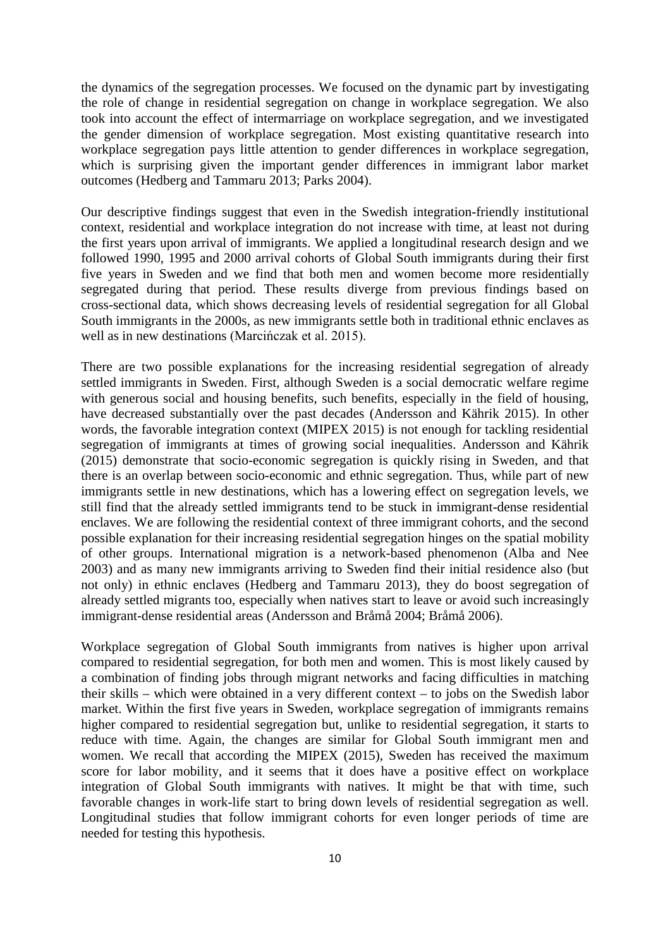the dynamics of the segregation processes. We focused on the dynamic part by investigating the role of change in residential segregation on change in workplace segregation. We also took into account the effect of intermarriage on workplace segregation, and we investigated the gender dimension of workplace segregation. Most existing quantitative research into workplace segregation pays little attention to gender differences in workplace segregation, which is surprising given the important gender differences in immigrant labor market outcomes (Hedberg and Tammaru 2013; Parks 2004).

Our descriptive findings suggest that even in the Swedish integration-friendly institutional context, residential and workplace integration do not increase with time, at least not during the first years upon arrival of immigrants. We applied a longitudinal research design and we followed 1990, 1995 and 2000 arrival cohorts of Global South immigrants during their first five years in Sweden and we find that both men and women become more residentially segregated during that period. These results diverge from previous findings based on cross-sectional data, which shows decreasing levels of residential segregation for all Global South immigrants in the 2000s, as new immigrants settle both in traditional ethnic enclaves as well as in new destinations (Marcińczak et al. 2015).

There are two possible explanations for the increasing residential segregation of already settled immigrants in Sweden. First, although Sweden is a social democratic welfare regime with generous social and housing benefits, such benefits, especially in the field of housing, have decreased substantially over the past decades (Andersson and Kährik 2015). In other words, the favorable integration context (MIPEX 2015) is not enough for tackling residential segregation of immigrants at times of growing social inequalities. Andersson and Kährik (2015) demonstrate that socio-economic segregation is quickly rising in Sweden, and that there is an overlap between socio-economic and ethnic segregation. Thus, while part of new immigrants settle in new destinations, which has a lowering effect on segregation levels, we still find that the already settled immigrants tend to be stuck in immigrant-dense residential enclaves. We are following the residential context of three immigrant cohorts, and the second possible explanation for their increasing residential segregation hinges on the spatial mobility of other groups. International migration is a network-based phenomenon (Alba and Nee 2003) and as many new immigrants arriving to Sweden find their initial residence also (but not only) in ethnic enclaves (Hedberg and Tammaru 2013), they do boost segregation of already settled migrants too, especially when natives start to leave or avoid such increasingly immigrant-dense residential areas (Andersson and Bråmå 2004; Bråmå 2006).

Workplace segregation of Global South immigrants from natives is higher upon arrival compared to residential segregation, for both men and women. This is most likely caused by a combination of finding jobs through migrant networks and facing difficulties in matching their skills – which were obtained in a very different context – to jobs on the Swedish labor market. Within the first five years in Sweden, workplace segregation of immigrants remains higher compared to residential segregation but, unlike to residential segregation, it starts to reduce with time. Again, the changes are similar for Global South immigrant men and women. We recall that according the MIPEX (2015), Sweden has received the maximum score for labor mobility, and it seems that it does have a positive effect on workplace integration of Global South immigrants with natives. It might be that with time, such favorable changes in work-life start to bring down levels of residential segregation as well. Longitudinal studies that follow immigrant cohorts for even longer periods of time are needed for testing this hypothesis.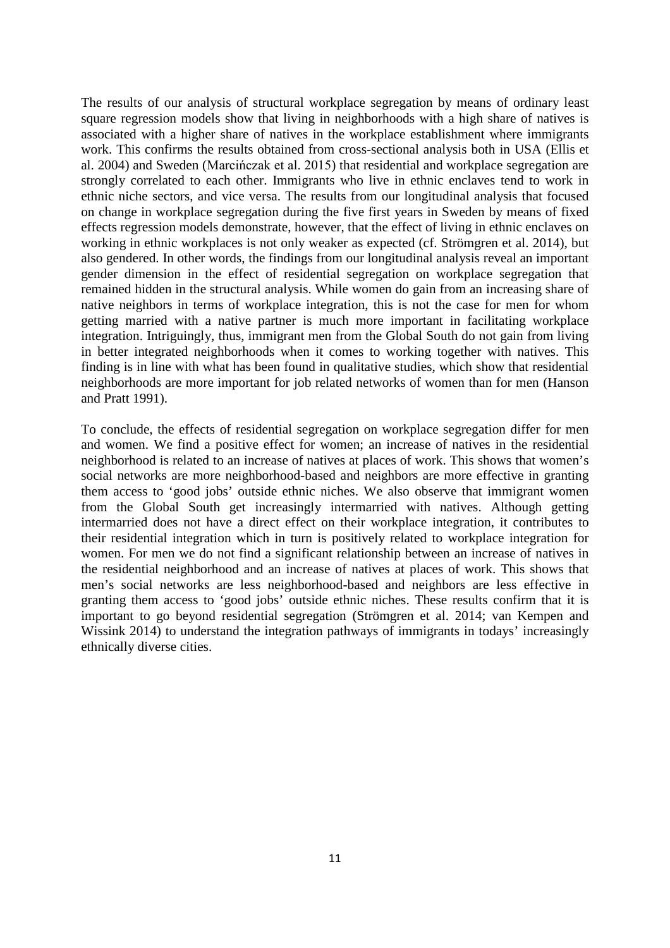The results of our analysis of structural workplace segregation by means of ordinary least square regression models show that living in neighborhoods with a high share of natives is associated with a higher share of natives in the workplace establishment where immigrants work. This confirms the results obtained from cross-sectional analysis both in USA (Ellis et al. 2004) and Sweden (Marcińczak et al. 2015) that residential and workplace segregation are strongly correlated to each other. Immigrants who live in ethnic enclaves tend to work in ethnic niche sectors, and vice versa. The results from our longitudinal analysis that focused on change in workplace segregation during the five first years in Sweden by means of fixed effects regression models demonstrate, however, that the effect of living in ethnic enclaves on working in ethnic workplaces is not only weaker as expected (cf. Strömgren et al. 2014), but also gendered. In other words, the findings from our longitudinal analysis reveal an important gender dimension in the effect of residential segregation on workplace segregation that remained hidden in the structural analysis. While women do gain from an increasing share of native neighbors in terms of workplace integration, this is not the case for men for whom getting married with a native partner is much more important in facilitating workplace integration. Intriguingly, thus, immigrant men from the Global South do not gain from living in better integrated neighborhoods when it comes to working together with natives. This finding is in line with what has been found in qualitative studies, which show that residential neighborhoods are more important for job related networks of women than for men (Hanson and Pratt 1991).

<span id="page-12-0"></span>To conclude, the effects of residential segregation on workplace segregation differ for men and women. We find a positive effect for women; an increase of natives in the residential neighborhood is related to an increase of natives at places of work. This shows that women's social networks are more neighborhood-based and neighbors are more effective in granting them access to 'good jobs' outside ethnic niches. We also observe that immigrant women from the Global South get increasingly intermarried with natives. Although getting intermarried does not have a direct effect on their workplace integration, it contributes to their residential integration which in turn is positively related to workplace integration for women. For men we do not find a significant relationship between an increase of natives in the residential neighborhood and an increase of natives at places of work. This shows that men's social networks are less neighborhood-based and neighbors are less effective in granting them access to 'good jobs' outside ethnic niches. These results confirm that it is important to go beyond residential segregation (Strömgren et al. 2014; van Kempen and Wissink 2014) to understand the integration pathways of immigrants in todays' increasingly ethnically diverse cities.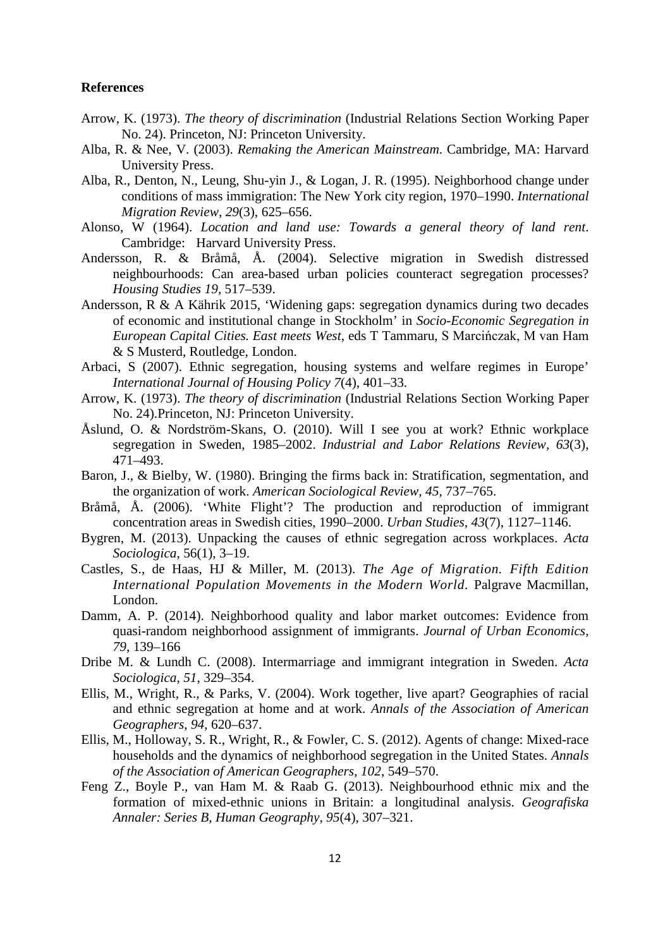#### **References**

- Arrow, K. (1973). *The theory of discrimination* (Industrial Relations Section Working Paper No. 24). Princeton, NJ: Princeton University.
- Alba, R. & Nee, V. (2003). *Remaking the American Mainstream*. Cambridge, MA: Harvard University Press.
- Alba, R., Denton, N., Leung, Shu-yin J., & Logan, J. R. (1995). Neighborhood change under conditions of mass immigration: The New York city region, 1970–1990. *International Migration Review, 29*(3), 625–656.
- Alonso, W (1964). *Location and land use: Towards a general theory of land rent*. Cambridge: Harvard University Press.
- Andersson, R. & Bråmå, Å. (2004). Selective migration in Swedish distressed neighbourhoods: Can area-based urban policies counteract segregation processes? *Housing Studies 19*, 517–539.
- Andersson, R & A Kährik 2015, 'Widening gaps: segregation dynamics during two decades of economic and institutional change in Stockholm' in *Socio-Economic Segregation in European Capital Cities. East meets West*, eds T Tammaru, S Marcińczak, M van Ham & S Musterd, Routledge, London.
- Arbaci, S (2007). Ethnic segregation, housing systems and welfare regimes in Europe' *International Journal of Housing Policy 7*(4), 401–33.
- Arrow, K. (1973). *The theory of discrimination* (Industrial Relations Section Working Paper No. 24).Princeton, NJ: Princeton University.
- Åslund, O. & Nordström-Skans, O. (2010). Will I see you at work? Ethnic workplace segregation in Sweden, 1985–2002. *Industrial and Labor Relations Review, 63*(3), 471–493.
- Baron, J., & Bielby, W. (1980). Bringing the firms back in: Stratification, segmentation, and the organization of work. *American Sociological Review, 45*, 737–765.
- Bråmå, Å. (2006). 'White Flight'? The production and reproduction of immigrant concentration areas in Swedish cities, 1990–2000. *Urban Studies, 43*(7), 1127–1146.
- Bygren, M. (2013). Unpacking the causes of ethnic segregation across workplaces. *Acta Sociologica*, 56(1), 3–19.
- Castles, S., de Haas, HJ & Miller, M. (2013). *The Age of Migration. Fifth Edition International Population Movements in the Modern World*. Palgrave Macmillan, London.
- Damm, A. P. (2014). Neighborhood quality and labor market outcomes: Evidence from quasi-random neighborhood assignment of immigrants. *Journal of Urban [Economics,](http://www.sciencedirect.com/science/journal/00941190) [79](http://www.sciencedirect.com/science/journal/00941190/79/supp/C)*, 139–166
- Dribe M. & Lundh C. (2008). Intermarriage and immigrant integration in Sweden. *Acta Sociologica*, *51*, 329–354.
- Ellis, M., Wright, R., & Parks, V. (2004). Work together, live apart? Geographies of racial and ethnic segregation at home and at work. *Annals of the Association of American Geographers*, *94*, 620–637.
- Ellis, M., Holloway, S. R., Wright, R., & Fowler, C. S. (2012). Agents of change: Mixed-race households and the dynamics of neighborhood segregation in the United States. *Annals of the Association of American Geographers*, *102*, 549–570.
- Feng Z., Boyle P., van Ham M. & Raab G. (2013). Neighbourhood ethnic mix and the formation of mixed-ethnic unions in Britain: a longitudinal analysis. *[Geografiska](http://dx.doi.org/10.1111/geob.12027)  [Annaler: Series B, Human Geography](http://dx.doi.org/10.1111/geob.12027)*, *95*(4), 307–321.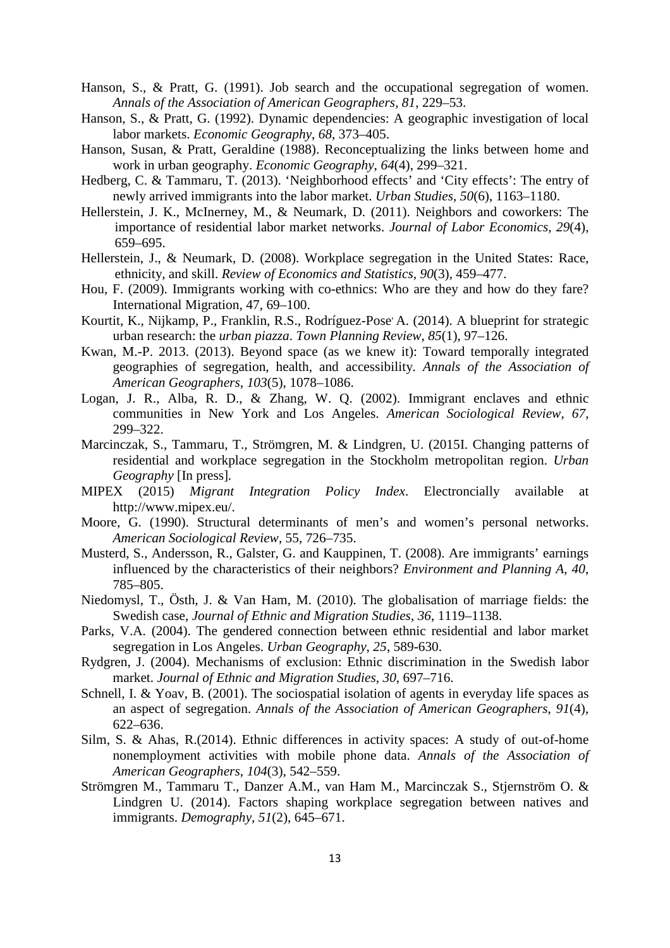- Hanson, S., & Pratt, G. (1991). Job search and the occupational segregation of women. *Annals of the Association of American Geographers, 81*, 229–53.
- Hanson, S., & Pratt, G. (1992). Dynamic dependencies: A geographic investigation of local labor markets. *Economic Geography*, *68*, 373–405.
- Hanson, Susan, & Pratt, Geraldine (1988). Reconceptualizing the links between home and work in urban geography. *Economic Geography*, *64*(4), 299–321.
- Hedberg, C. & [Tammaru, T. \(2013\). 'Neighborhood effects' and 'City effects': The entry of](javascript:__doPostBack()  [newly arrived immigrants into the labor](javascript:__doPostBack() market. *Urban Studies, 50*(6), 1163–1180.
- Hellerstein, J. K., McInerney, M., & Neumark, D. (2011). Neighbors and coworkers: The importance of residential labor market networks. *Journal of Labor Economics, 29*(4), 659–695.
- Hellerstein, J., & Neumark, D. (2008). Workplace segregation in the United States: Race, ethnicity, and skill. *Review of Economics and Statistics*, *90*(3), 459–477.
- Hou, F. (2009). Immigrants working with co-ethnics: Who are they and how do they fare? International Migration, 47, 69–100.
- Kourtit, K., Nijkamp, P., Franklin, R.S., Rodríguez-Pose' A. (2014). A blueprint for strategic [urban research: the](http://liverpool.metapress.com/content/m61437540r42lg6n/) *urban piazza*. *[Town Planning Review](http://liverpool.metapress.com/content/121633/?p=673e977a92c9432fab86702847765acb&pi=0)*, *85*(1), 97–126.
- Kwan, M.-P. 2013. (2013). Beyond space (as we knew it): Toward temporally integrated geographies of segregation, health, and accessibility. *Annals of the Association of American Geographers*, *103*(5), 1078–1086.
- Logan, J. R., Alba, R. D., & Zhang, W. Q. (2002). Immigrant enclaves and ethnic communities in New York and Los Angeles. *American Sociological Review*, *67*, 299–322.
- Marcinczak, S., Tammaru, T., Strömgren, M. & Lindgren, U. (2015I. Changing patterns of residential and workplace segregation in the Stockholm metropolitan region. *Urban Geography* [In press]*.*
- MIPEX (2015) *Migrant Integration Policy Index*. Electroncially available at [http://www.mipex.eu/.](http://www.mipex.eu/)
- Moore, G. (1990). Structural determinants of men's and women's personal networks. *American Sociological Review*, 55, 726–735.
- Musterd, S., Andersson, R., Galster, G. and Kauppinen, T. (2008). Are immigrants' earnings influenced by the characteristics of their neighbors? *Environment and Planning A*, *40*, 785–805.
- Niedomysl, T., Östh, J. & Van Ham, M. (2010). The globalisation of marriage fields: the Swedish case, *Journal of Ethnic and Migration Studies*, *36*, 1119–1138.
- Parks, V.A. (2004). The gendered connection between ethnic residential and labor market segregation in Los Angeles. *Urban Geography*, *25*, 589-630.
- Rydgren, J. (2004). Mechanisms of exclusion: Ethnic discrimination in the Swedish labor market. *Journal of Ethnic and Migration Studies*, *30*, 697–716.
- Schnell, I. & Yoav, B. (2001). The sociospatial isolation of agents in everyday life spaces as an aspect of segregation. *Annals of the Association of American Geographers*, *91*(4), 622–636.
- [Silm, S. & Ahas, R.\(2014\). Ethnic differences in activity spaces: A study of out-of-home](javascript:__doPostBack()  [nonemployment activities with mobile phone data.](javascript:__doPostBack() *Annals of the Association of [American Geographers](javascript:__doPostBack()*, *104*(3), 542–559.
- Strömgren M., Tammaru T., Danzer A.M., van Ham M., Marcinczak S., Stjernström O. & Lindgren U. (2014). Factors shaping workplace segregation between natives and immigrants. *[Demography,](http://dx.doi.org/10.1007/s13524-013-0271-8) 51*(2), 645–671.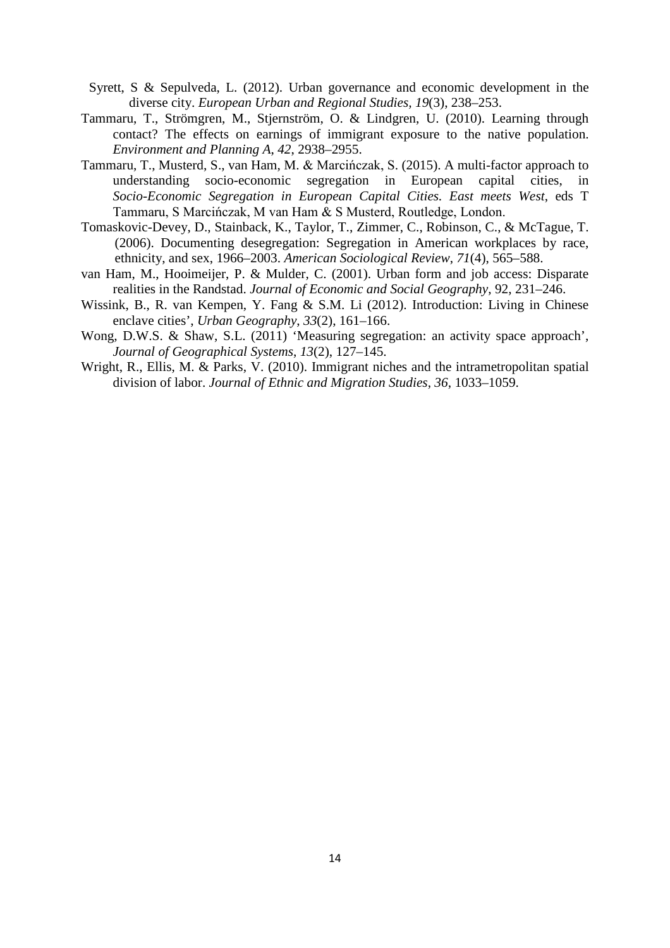- Syrett, S & Sepulveda, L. (2012). Urban governance and economic development in the diverse city. *European Urban and Regional Studies, 19*(3), 238–253.
- Tammaru, T., Strömgren, M., Stjernström, O. & Lindgren, U. (2010). Learning through contact? The effects on earnings of immigrant exposure to the native population. *Environment and Planning A*, *42*, 2938–2955.
- Tammaru, T., Musterd, S., van Ham, M. & Marcińczak, S. (2015). A multi-factor approach to understanding socio-economic segregation in European capital cities, in *Socio-Economic Segregation in European Capital Cities. East meets West*, eds T Tammaru, S Marcińczak, M van Ham & S Musterd, Routledge, London.
- Tomaskovic-Devey, D., Stainback, K., Taylor, T., Zimmer, C., Robinson, C., & McTague, T. (2006). Documenting desegregation: Segregation in American workplaces by race, ethnicity, and sex, 1966–2003. *American Sociological Review*, *71*(4), 565–588.
- van Ham, M., Hooimeijer, P. & Mulder, C. (2001). Urban form and job access: Disparate realities in the Randstad. *Journal of Economic and Social Geography*, 92, 231–246.
- Wissink, B., R. van Kempen, Y. Fang & S.M. Li (2012). Introduction: Living in Chinese enclave cities', *Urban Geography*, *33*(2), 161–166.
- Wong, D.W.S. & Shaw, S.L. (2011) 'Measuring segregation: an activity space approach', *Journal of Geographical Systems*, *13*(2), 127–145.
- Wright, R., Ellis, M. & Parks, V. (2010). Immigrant niches and the intrametropolitan spatial division of labor. *Journal of Ethnic and Migration Studies*, *36*, 1033–1059.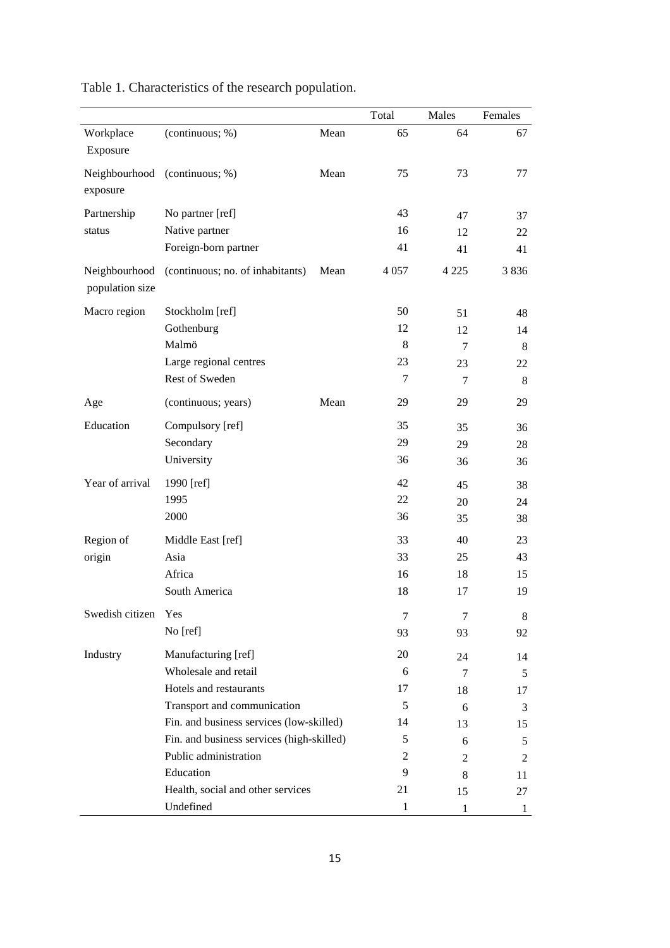|                                  |                                           |      | Total        | Males   | Females      |
|----------------------------------|-------------------------------------------|------|--------------|---------|--------------|
| Workplace<br>Exposure            | (continuous; %)                           | Mean | 65           | 64      | 67           |
| exposure                         | Neighbourhood (continuous; %)             | Mean | 75           | 73      | 77           |
| Partnership                      | No partner [ref]                          |      | 43           | 47      | 37           |
| status                           | Native partner                            |      | 16           | 12      | 22           |
|                                  | Foreign-born partner                      |      | 41           | 41      | 41           |
| Neighbourhood<br>population size | (continuous; no. of inhabitants)          | Mean | 4 0 5 7      | 4 2 2 5 | 3836         |
| Macro region                     | Stockholm [ref]                           |      | 50           | 51      | 48           |
|                                  | Gothenburg                                |      | 12           | 12      | 14           |
|                                  | Malmö                                     |      | 8            | $\tau$  | 8            |
|                                  | Large regional centres                    |      | 23           | 23      | 22           |
|                                  | Rest of Sweden                            |      | 7            | 7       | 8            |
| Age                              | (continuous; years)                       | Mean | 29           | 29      | 29           |
| Education                        | Compulsory [ref]                          |      | 35           | 35      | 36           |
|                                  | Secondary                                 |      | 29           | 29      | 28           |
|                                  | University                                |      | 36           | 36      | 36           |
| Year of arrival                  | 1990 [ref]                                |      | 42           | 45      | 38           |
|                                  | 1995                                      |      | 22           | 20      | 24           |
|                                  | 2000                                      |      | 36           | 35      | 38           |
| Region of                        | Middle East [ref]                         |      | 33           | 40      | 23           |
| origin                           | Asia                                      |      | 33           | 25      | 43           |
|                                  | Africa                                    |      | 16           | 18      | 15           |
|                                  | South America                             |      | 18           | 17      | 19           |
| Swedish citizen                  | Yes                                       |      | 7            | 7       | 8            |
|                                  | No [ref]                                  |      | 93           | 93      | 92           |
| Industry                         | Manufacturing [ref]                       |      | 20           | 24      | 14           |
|                                  | Wholesale and retail                      |      | 6            | 7       | 5            |
|                                  | Hotels and restaurants                    |      | 17           | 18      | 17           |
|                                  | Transport and communication               | 5    | 6            | 3       |              |
|                                  | Fin. and business services (low-skilled)  | 14   | 13           | 15      |              |
|                                  | Fin. and business services (high-skilled) | 5    | 6            | 5       |              |
|                                  | Public administration                     |      |              |         | 2            |
|                                  | Education                                 |      | 9            | 8       | 11           |
|                                  | Health, social and other services         |      | 21           | 15      | 27           |
|                                  | Undefined                                 |      | $\mathbf{1}$ | 1       | $\mathbf{I}$ |

Table 1. Characteristics of the research population.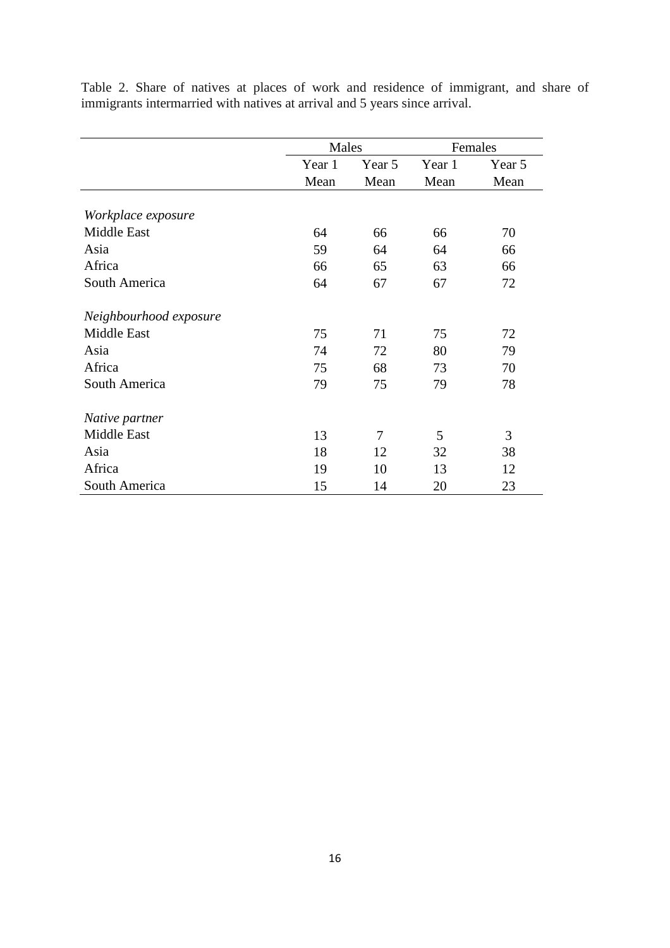|                                                                            |  |  |  |  |  |  |  |  |  |  |  | Table 2. Share of natives at places of work and residence of immigrant, and share of |  |  |  |
|----------------------------------------------------------------------------|--|--|--|--|--|--|--|--|--|--|--|--------------------------------------------------------------------------------------|--|--|--|
| immigrants intermarried with natives at arrival and 5 years since arrival. |  |  |  |  |  |  |  |  |  |  |  |                                                                                      |  |  |  |

|                        | Males  |        | Females |        |  |  |
|------------------------|--------|--------|---------|--------|--|--|
|                        | Year 1 | Year 5 | Year 1  | Year 5 |  |  |
|                        | Mean   | Mean   | Mean    | Mean   |  |  |
| Workplace exposure     |        |        |         |        |  |  |
| Middle East            | 64     | 66     | 66      | 70     |  |  |
| Asia                   | 59     | 64     | 64      | 66     |  |  |
| Africa                 | 66     | 65     | 63      | 66     |  |  |
| South America          | 64     | 67     | 67      | 72     |  |  |
| Neighbourhood exposure |        |        |         |        |  |  |
| <b>Middle East</b>     | 75     | 71     | 75      | 72     |  |  |
| Asia                   | 74     | 72     | 80      | 79     |  |  |
| Africa                 | 75     | 68     | 73      | 70     |  |  |
| South America          | 79     | 75     | 79      | 78     |  |  |
| Native partner         |        |        |         |        |  |  |
| <b>Middle East</b>     | 13     | 7      | 5       | 3      |  |  |
| Asia                   | 18     | 12     | 32      | 38     |  |  |
| Africa                 | 19     | 10     | 13      | 12     |  |  |
| South America          | 15     | 14     | 20      | 23     |  |  |